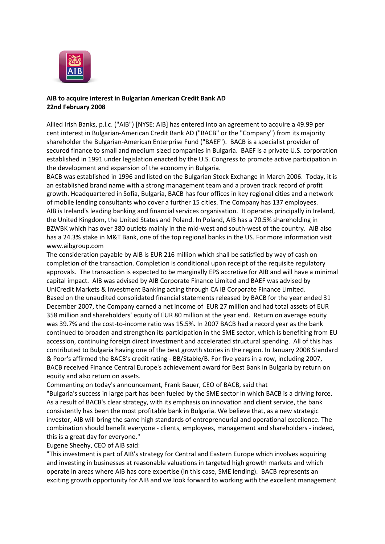

## **AIB to acquire interest in Bulgarian American Credit Bank AD 22nd February 2008**

Allied Irish Banks, p.l.c. ("AIB") [NYSE: AIB] has entered into an agreement to acquire a 49.99 per cent interest in Bulgarian-American Credit Bank AD ("BACB" or the "Company") from its majority shareholder the Bulgarian-American Enterprise Fund ("BAEF"). BACB is a specialist provider of secured finance to small and medium sized companies in Bulgaria. BAEF is a private U.S. corporation established in 1991 under legislation enacted by the U.S. Congress to promote active participation in the development and expansion of the economy in Bulgaria.

BACB was established in 1996 and listed on the Bulgarian Stock Exchange in March 2006. Today, it is an established brand name with a strong management team and a proven track record of profit growth. Headquartered in Sofia, Bulgaria, BACB has four offices in key regional cities and a network of mobile lending consultants who cover a further 15 cities. The Company has 137 employees. AIB is Ireland's leading banking and financial services organisation. It operates principally in Ireland, the United Kingdom, the United States and Poland. In Poland, AIB has a 70.5% shareholding in BZWBK which has over 380 outlets mainly in the mid-west and south-west of the country. AIB also has a 24.3% stake in M&T Bank, one of the top regional banks in the US. For more information visit www.aibgroup.com

The consideration payable by AIB is EUR 216 million which shall be satisfied by way of cash on completion of the transaction. Completion is conditional upon receipt of the requisite regulatory approvals. The transaction is expected to be marginally EPS accretive for AIB and will have a minimal capital impact. AIB was advised by AIB Corporate Finance Limited and BAEF was advised by UniCredit Markets & Investment Banking acting through CA IB Corporate Finance Limited. Based on the unaudited consolidated financial statements released by BACB for the year ended 31 December 2007, the Company earned a net income of EUR 27 million and had total assets of EUR 358 million and shareholders' equity of EUR 80 million at the year end. Return on average equity was 39.7% and the cost-to-income ratio was 15.5%. In 2007 BACB had a record year as the bank continued to broaden and strengthen its participation in the SME sector, which is benefiting from EU accession, continuing foreign direct investment and accelerated structural spending. All of this has contributed to Bulgaria having one of the best growth stories in the region. In January 2008 Standard & Poor's affirmed the BACB's credit rating - BB/Stable/B. For five years in a row, including 2007, BACB received Finance Central Europe's achievement award for Best Bank in Bulgaria by return on equity and also return on assets.

Commenting on today's announcement, Frank Bauer, CEO of BACB, said that

"Bulgaria's success in large part has been fueled by the SME sector in which BACB is a driving force. As a result of BACB's clear strategy, with its emphasis on innovation and client service, the bank consistently has been the most profitable bank in Bulgaria. We believe that, as a new strategic investor, AIB will bring the same high standards of entrepreneurial and operational excellence. The combination should benefit everyone - clients, employees, management and shareholders - indeed, this is a great day for everyone."

Eugene Sheehy, CEO of AIB said:

"This investment is part of AIB's strategy for Central and Eastern Europe which involves acquiring and investing in businesses at reasonable valuations in targeted high growth markets and which operate in areas where AIB has core expertise (in this case, SME lending). BACB represents an exciting growth opportunity for AIB and we look forward to working with the excellent management